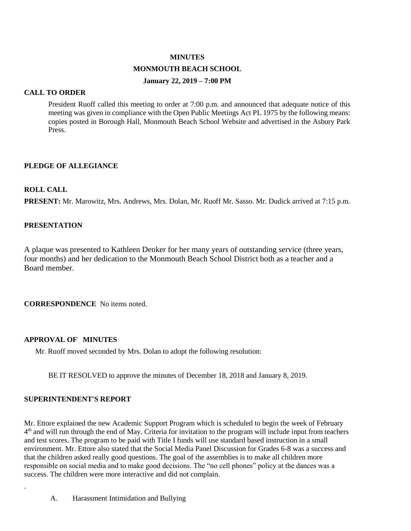# **MINUTES**

#### **MONMOUTH BEACH SCHOOL**

#### **January 22, 2019 – 7:00 PM**

# **CALL TO ORDER**

President Ruoff called this meeting to order at 7:00 p.m. and announced that adequate notice of this meeting was given in compliance with the Open Public Meetings Act PL 1975 by the following means: copies posted in Borough Hall, Monmouth Beach School Website and advertised in the Asbury Park Press.

# **PLEDGE OF ALLEGIANCE**

# **ROLL CALL**

**PRESENT:** Mr. Marowitz, Mrs. Andrews, Mrs. Dolan, Mr. Ruoff Mr. Sasso. Mr. Dudick arrived at 7:15 p.m.

# **PRESENTATION**

A plaque was presented to Kathleen Denker for her many years of outstanding service (three years, four months) and her dedication to the Monmouth Beach School District both as a teacher and a Board member.

**CORRESPONDENCE** No items noted.

# **APPROVAL OF MINUTES**

Mr. Ruoff moved seconded by Mrs. Dolan to adopt the following resolution:

BE IT RESOLVED to approve the minutes of December 18, 2018 and January 8, 2019.

### **SUPERINTENDENT'S REPORT**

.

Mr. Ettore explained the new Academic Support Program which is scheduled to begin the week of February 4<sup>th</sup> and will run through the end of May. Criteria for invitation to the program will include input from teachers and test scores. The program to be paid with Title I funds will use standard based instruction in a small environment. Mr. Ettore also stated that the Social Media Panel Discussion for Grades 6-8 was a success and that the children asked really good questions. The goal of the assemblies is to make all children more responsible on social media and to make good decisions. The "no cell phones" policy at the dances was a success. The children were more interactive and did not complain.

A. Harassment Intimidation and Bullying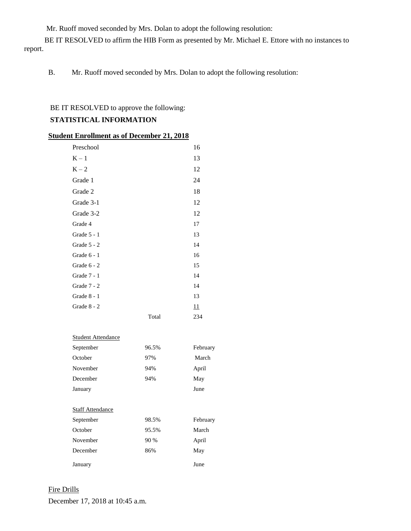Mr. Ruoff moved seconded by Mrs. Dolan to adopt the following resolution:

 BE IT RESOLVED to affirm the HIB Form as presented by Mr. Michael E. Ettore with no instances to report.

B. Mr. Ruoff moved seconded by Mrs. Dolan to adopt the following resolution:

# BE IT RESOLVED to approve the following:

# **STATISTICAL INFORMATION**

| <b>Student Enrollment as of December 21, 2018</b> |  |
|---------------------------------------------------|--|
|---------------------------------------------------|--|

| Preschool     |       | 16  |
|---------------|-------|-----|
| $K - 1$       |       | 13  |
| $K - 2$       |       | 12  |
| Grade 1       |       | 24  |
| Grade 2       |       | 18  |
| Grade 3-1     |       | 12  |
| Grade 3-2     |       | 12  |
| Grade 4       |       | 17  |
| Grade 5 - 1   |       | 13  |
| Grade $5 - 2$ |       | 14  |
| Grade $6 - 1$ |       | 16  |
| Grade $6 - 2$ |       | 15  |
| Grade $7 - 1$ |       | 14  |
| Grade $7 - 2$ |       | 14  |
| Grade $8 - 1$ |       | 13  |
| Grade $8 - 2$ |       | 11  |
|               | Total | 234 |

| <b>Student Attendance</b> |       |          |
|---------------------------|-------|----------|
| September                 | 96.5% | February |

| October                 | 97%   | March    |
|-------------------------|-------|----------|
| November                | 94%   | April    |
| December                | 94%   | May      |
| January                 |       | June     |
|                         |       |          |
| <b>Staff Attendance</b> |       |          |
| September               | 98.5% | February |
| October                 | 95.5% | March    |
| November                | 90 %  | April    |
| December                | 86%   | May      |
| January                 |       | June     |

### Fire Drills

December 17, 2018 at 10:45 a.m.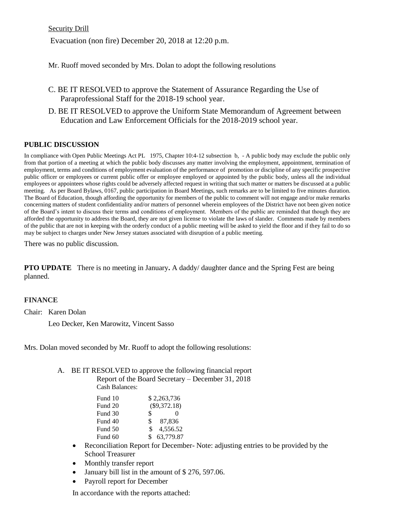Security Drill

Evacuation (non fire) December 20, 2018 at 12:20 p.m.

Mr. Ruoff moved seconded by Mrs. Dolan to adopt the following resolutions

- C. BE IT RESOLVED to approve the Statement of Assurance Regarding the Use of Paraprofessional Staff for the 2018-19 school year.
- D. BE IT RESOLVED to approve the Uniform State Memorandum of Agreement between Education and Law Enforcement Officials for the 2018-2019 school year.

# **PUBLIC DISCUSSION**

In compliance with Open Public Meetings Act PL 1975, Chapter 10:4-12 subsection b, - A public body may exclude the public only from that portion of a meeting at which the public body discusses any matter involving the employment, appointment, termination of employment, terms and conditions of employment evaluation of the performance of promotion or discipline of any specific prospective public officer or employees or current public offer or employee employed or appointed by the public body, unless all the individual employees or appointees whose rights could be adversely affected request in writing that such matter or matters be discussed at a public meeting. As per Board Bylaws, 0167, public participation in Board Meetings, such remarks are to be limited to five minutes duration. The Board of Education, though affording the opportunity for members of the public to comment will not engage and/or make remarks concerning matters of student confidentiality and/or matters of personnel wherein employees of the District have not been given notice of the Board's intent to discuss their terms and conditions of employment. Members of the public are reminded that though they are afforded the opportunity to address the Board, they are not given license to violate the laws of slander. Comments made by members of the public that are not in keeping with the orderly conduct of a public meeting will be asked to yield the floor and if they fail to do so may be subject to charges under New Jersey statues associated with disruption of a public meeting.

There was no public discussion.

**PTO UPDATE** There is no meeting in January**.** A daddy/ daughter dance and the Spring Fest are being planned.

### **FINANCE**

Chair: Karen Dolan

Leo Decker, Ken Marowitz, Vincent Sasso

Mrs. Dolan moved seconded by Mr. Ruoff to adopt the following resolutions:

#### A. BE IT RESOLVED to approve the following financial report Report of the Board Secretary – December 31, 2018 Cash Balances:

| Fund 10 |     | \$2,263,736    |
|---------|-----|----------------|
| Fund 20 |     | $(\$9,372.18)$ |
| Fund 30 | \$  | 0              |
| Fund 40 | S.  | 87.836         |
| Fund 50 | \$. | 4,556.52       |
| Fund 60 | S   | 63,779.87      |
|         |     |                |

- Reconciliation Report for December- Note: adjusting entries to be provided by the School Treasurer
- Monthly transfer report
- January bill list in the amount of \$ 276, 597.06.
- Payroll report for December

In accordance with the reports attached: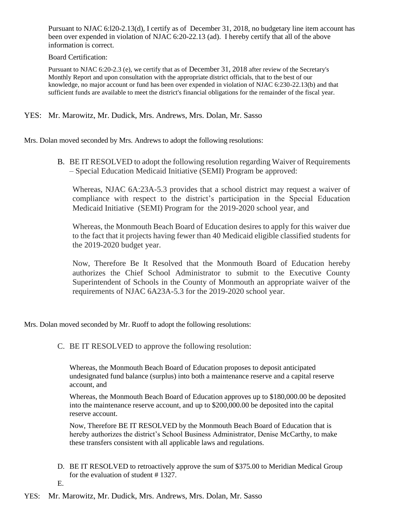Pursuant to NJAC 6:l20-2.13(d), I certify as of December 31, 2018, no budgetary line item account has been over expended in violation of NJAC 6:20-22.13 (ad). I hereby certify that all of the above information is correct.

Board Certification:

Pursuant to NJAC 6:20-2.3 (e), we certify that as of December 31, 2018 after review of the Secretary's Monthly Report and upon consultation with the appropriate district officials, that to the best of our knowledge, no major account or fund has been over expended in violation of NJAC 6:230-22.13(b) and that sufficient funds are available to meet the district's financial obligations for the remainder of the fiscal year.

# YES: Mr. Marowitz, Mr. Dudick, Mrs. Andrews, Mrs. Dolan, Mr. Sasso

Mrs. Dolan moved seconded by Mrs. Andrews to adopt the following resolutions:

B. BE IT RESOLVED to adopt the following resolution regarding Waiver of Requirements – Special Education Medicaid Initiative (SEMI) Program be approved:

Whereas, NJAC 6A:23A-5.3 provides that a school district may request a waiver of compliance with respect to the district's participation in the Special Education Medicaid Initiative (SEMI) Program for the 2019-2020 school year, and

Whereas, the Monmouth Beach Board of Education desires to apply for this waiver due to the fact that it projects having fewer than 40 Medicaid eligible classified students for the 2019-2020 budget year.

Now, Therefore Be It Resolved that the Monmouth Board of Education hereby authorizes the Chief School Administrator to submit to the Executive County Superintendent of Schools in the County of Monmouth an appropriate waiver of the requirements of NJAC 6A23A-5.3 for the 2019-2020 school year.

Mrs. Dolan moved seconded by Mr. Ruoff to adopt the following resolutions:

C. BE IT RESOLVED to approve the following resolution:

Whereas, the Monmouth Beach Board of Education proposes to deposit anticipated undesignated fund balance (surplus) into both a maintenance reserve and a capital reserve account, and

Whereas, the Monmouth Beach Board of Education approves up to \$180,000.00 be deposited into the maintenance reserve account, and up to \$200,000.00 be deposited into the capital reserve account.

Now, Therefore BE IT RESOLVED by the Monmouth Beach Board of Education that is hereby authorizes the district's School Business Administrator, Denise McCarthy, to make these transfers consistent with all applicable laws and regulations.

D. BE IT RESOLVED to retroactively approve the sum of \$375.00 to Meridian Medical Group for the evaluation of student # 1327.

E.

YES: Mr. Marowitz, Mr. Dudick, Mrs. Andrews, Mrs. Dolan, Mr. Sasso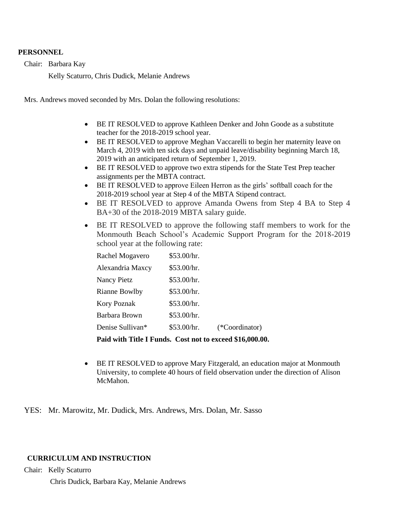#### **PERSONNEL**

Chair: Barbara Kay

Kelly Scaturro, Chris Dudick, Melanie Andrews

Mrs. Andrews moved seconded by Mrs. Dolan the following resolutions:

- BE IT RESOLVED to approve Kathleen Denker and John Goode as a substitute teacher for the 2018-2019 school year.
- BE IT RESOLVED to approve Meghan Vaccarelli to begin her maternity leave on March 4, 2019 with ten sick days and unpaid leave/disability beginning March 18, 2019 with an anticipated return of September 1, 2019.
- BE IT RESOLVED to approve two extra stipends for the State Test Prep teacher assignments per the MBTA contract.
- BE IT RESOLVED to approve Eileen Herron as the girls' softball coach for the 2018-2019 school year at Step 4 of the MBTA Stipend contract.
- BE IT RESOLVED to approve Amanda Owens from Step 4 BA to Step 4 BA+30 of the 2018-2019 MBTA salary guide.
- BE IT RESOLVED to approve the following staff members to work for the Monmouth Beach School's Academic Support Program for the 2018-2019 school year at the following rate:

| Rachel Mogavero      | \$53.00/hr. |                |
|----------------------|-------------|----------------|
| Alexandria Maxcy     | \$53.00/hr. |                |
| <b>Nancy Pietz</b>   | \$53.00/hr. |                |
| <b>Rianne Bowlby</b> | \$53.00/hr. |                |
| Kory Poznak          | \$53.00/hr. |                |
| Barbara Brown        | \$53.00/hr. |                |
| Denise Sullivan*     | \$53.00/hr. | (*Coordinator) |

**Paid with Title I Funds. Cost not to exceed \$16,000.00.** 

 BE IT RESOLVED to approve Mary Fitzgerald, an education major at Monmouth University, to complete 40 hours of field observation under the direction of Alison McMahon.

YES: Mr. Marowitz, Mr. Dudick, Mrs. Andrews, Mrs. Dolan, Mr. Sasso

### **CURRICULUM AND INSTRUCTION**

Chair: Kelly Scaturro

Chris Dudick, Barbara Kay, Melanie Andrews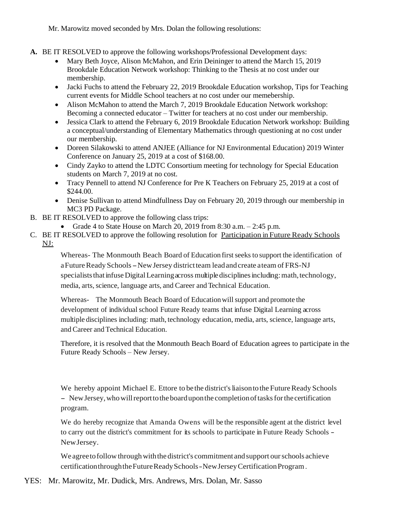Mr. Marowitz moved seconded by Mrs. Dolan the following resolutions:

- **A.** BE IT RESOLVED to approve the following workshops/Professional Development days:
	- Mary Beth Joyce, Alison McMahon, and Erin Deininger to attend the March 15, 2019 Brookdale Education Network workshop: Thinking to the Thesis at no cost under our membership.
	- Jacki Fuchs to attend the February 22, 2019 Brookdale Education workshop, Tips for Teaching current events for Middle School teachers at no cost under our memebership.
	- Alison McMahon to attend the March 7, 2019 Brookdale Education Network workshop: Becoming a connected educator – Twitter for teachers at no cost under our membership.
	- Jessica Clark to attend the February 6, 2019 Brookdale Education Network workshop: Building a conceptual/understanding of Elementary Mathematics through questioning at no cost under our membership.
	- Doreen Silakowski to attend ANJEE (Alliance for NJ Environmental Education) 2019 Winter Conference on January 25, 2019 at a cost of \$168.00.
	- Cindy Zayko to attend the LDTC Consortium meeting for technology for Special Education students on March 7, 2019 at no cost.
	- Tracy Pennell to attend NJ Conference for Pre K Teachers on February 25, 2019 at a cost of \$244.00.
	- Denise Sullivan to attend Mindfullness Day on February 20, 2019 through our membership in MC3 PD Package.
- B. BE IT RESOLVED to approve the following class trips:
	- Grade 4 to State House on March 20, 2019 from 8:30 a.m.  $-2:45$  p.m.
- C. BE IT RESOLVED to approve the following resolution for Participation in Future Ready Schools NJ:

Whereas- The Monmouth Beach Board of Education first seeks to support the identification of aFuture Ready Schools - New Jersey district team lead and create ateam of FRS-NJ specialists that infuse Digital Learning across multiple disciplines including: math, technology, media, arts, science, language arts, and Career and Technical Education.

Whereas- The Monmouth Beach Board of Education will support and promote the development of individual school Future Ready teams that infuse Digital Learning across multiple disciplines including: math, technology education, media, arts, science, language arts, andCareer and Technical Education.

Therefore, it is resolved that the Monmouth Beach Board of Education agrees to participate in the Future Ready Schools – New Jersey.

We hereby appoint Michael E. Ettore to be the district's liaison to the Future Ready Schools - New Jersey, who will report to the board upon the completion of tasks for the certification program.

We do hereby recognize that Amanda Owens will be the responsible agent at the district level to carry out the district's commitment for its schools to participate in Future Ready Schools - NewJersey.

We agree to follow through with the district's commitment and support our schools achieve certificationthroughtheFutureReadySchools-NewJerseyCertificationProgram.

YES: Mr. Marowitz, Mr. Dudick, Mrs. Andrews, Mrs. Dolan, Mr. Sasso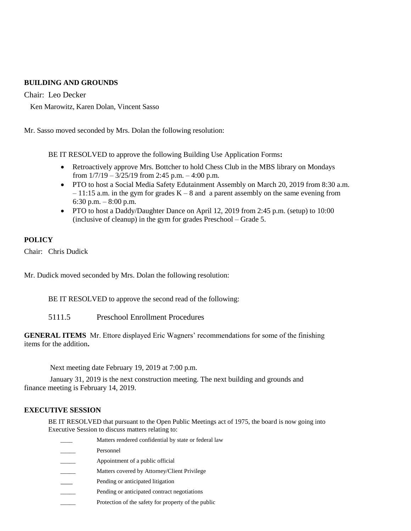# **BUILDING AND GROUNDS**

Chair: Leo Decker

Ken Marowitz, Karen Dolan, Vincent Sasso

Mr. Sasso moved seconded by Mrs. Dolan the following resolution:

BE IT RESOLVED to approve the following Building Use Application Forms**:** 

- Retroactively approve Mrs. Bottcher to hold Chess Club in the MBS library on Mondays from  $1/7/19 - 3/25/19$  from 2:45 p.m.  $-4:00$  p.m.
- PTO to host a Social Media Safety Edutainment Assembly on March 20, 2019 from 8:30 a.m.  $-11:15$  a.m. in the gym for grades  $K - 8$  and a parent assembly on the same evening from 6:30 p.m. – 8:00 p.m.
- PTO to host a Daddy/Daughter Dance on April 12, 2019 from 2:45 p.m. (setup) to 10:00 (inclusive of cleanup) in the gym for grades Preschool – Grade 5.

# **POLICY**

Chair: Chris Dudick

Mr. Dudick moved seconded by Mrs. Dolan the following resolution:

BE IT RESOLVED to approve the second read of the following:

5111.5 Preschool Enrollment Procedures

**GENERAL ITEMS** Mr. Ettore displayed Eric Wagners' recommendations for some of the finishing items for the addition**.**

Next meeting date February 19, 2019 at 7:00 p.m.

 January 31, 2019 is the next construction meeting. The next building and grounds and finance meeting is February 14, 2019.

#### **EXECUTIVE SESSION**

BE IT RESOLVED that pursuant to the Open Public Meetings act of 1975, the board is now going into Executive Session to discuss matters relating to:

| Matters rendered confidential by state or federal law |
|-------------------------------------------------------|
| Personnel                                             |
| Appointment of a public official                      |
| Matters covered by Attorney/Client Privilege          |
| Pending or anticipated litigation                     |
| Pending or anticipated contract negotiations          |
|                                                       |

Protection of the safety for property of the public